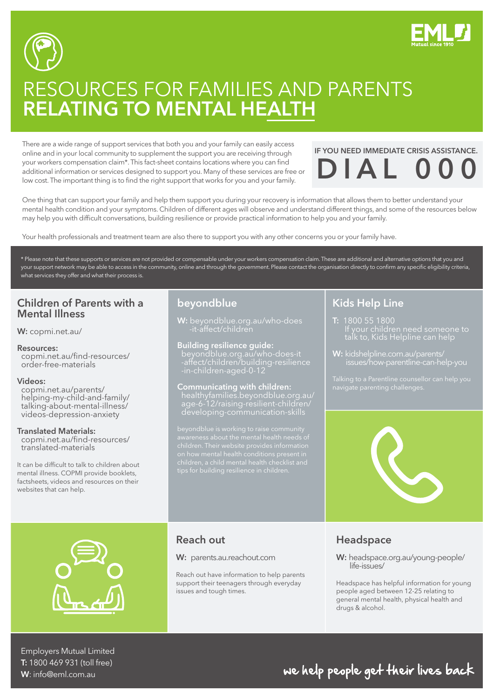



# RESOURCES FOR FAMILIES AND PARENTS RELATING TO MENTAL HEALTH

There are a wide range of support services that both you and your family can easily access online and in your local community to supplement the support you are receiving through your workers compensation claim\*. This fact-sheet contains locations where you can find additional information or services designed to support you. Many of these services are free or low cost. The important thing is to find the right support that works for you and your family.

# IF YOU NEED IMMEDIATE CRISIS ASSISTANCE.  $DIA$

One thing that can support your family and help them support you during your recovery is information that allows them to better understand your mental health condition and your symptoms. Children of different ages will observe and understand different things, and some of the resources below may help you with difficult conversations, building resilience or provide practical information to help you and your family.

Your health professionals and treatment team are also there to support you with any other concerns you or your family have.

\* Please note that these supports or services are not provided or compensable under your workers compensation claim. These are additional and alternative options that you and your support network may be able to access in the community, online and through the government. Please contact the organisation directly to confirm any specific eligibility criteria, what services they offer and what their process is.

### Children of Parents with a Mental Illness

W: [copmi.net.au/](https://www.copmi.net.au/)

#### Resources:

 [copmi.net.au/find-resources/](copmi.net.au/find-resources/order-free-materials) order-free-materials

#### Videos:

 copmi.net.au/parents/  [helping-my-child-and-family/](copmi.net.au/parents/helping-my-child-and-family/talking-about-mental-illness/videos-depression-anxiety) talking-about-mental-illness/ videos-depression-anxiety

#### Translated Materials:

 [copmi.net.au/find-resources/](copmi.net.au/find-resources/translated-materials) translated-materials

It can be difficult to talk to children about mental illness. COPMI provide booklets, factsheets, videos and resources on their websites that can help.

### beyondblue

**W:** [beyondblue.org.au/who-does](beyondblue.org.au/who-does-it-affect/children) -it-affect/children

Building resilience guide: beyondblue.org.au/who-does-it  [-affect/children/building-resilience](beyondblue.org.au/who-does-it-affect/children/building-resilience-in-children-aged-0-12) -in-children-aged-0-12

Communicating with children: age-6-12/raising-resilient-children/ developing-communication-skills

beyondblue is working to raise community

## Kids Help Line

T: 1800 55 1800 talk to, Kids Helpline can help

W: kidshelpline.com.au/parents/





## Reach out

#### W: <parents.au.reachout.com>

Reach out have information to help parents support their teenagers through everyday issues and tough times.

## Headspace

W: [headspace.org.au/young-people/](https://headspace.org.au/young-people/life-issues/) life-issues/

Headspace has helpful information for young people aged between 12-25 relating to general mental health, physical health and drugs & alcohol.

Employers Mutual Limited T: 1800 469 931 (toll free) W: info@eml.com.au

## we help people get their lives back